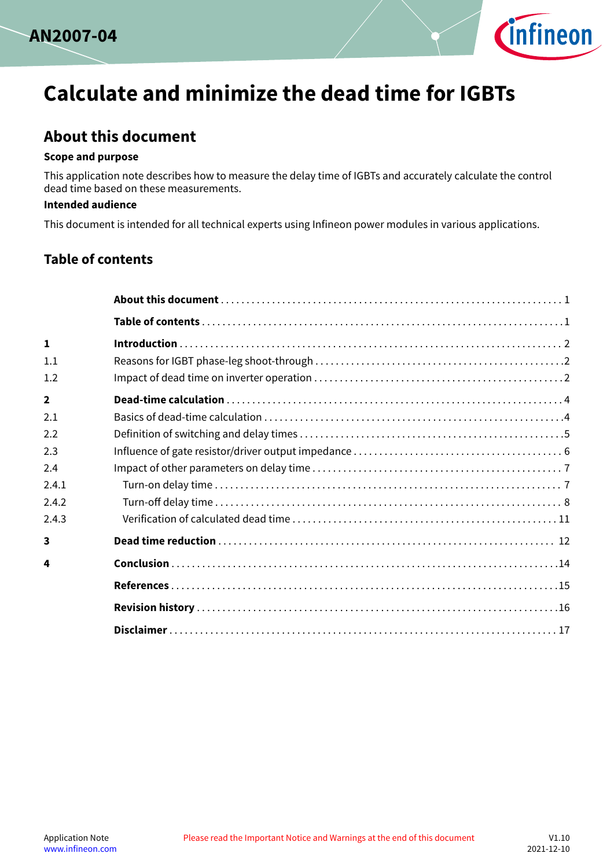



# **Calculate and minimize the dead time for IGBTs**

# **About this document**

#### **Scope and purpose**

This application note describes how to measure the delay time of IGBTs and accurately calculate the control dead time based on these measurements.

#### **Intended audience**

This document is intended for all technical experts using Infineon power modules in various applications.

## **Table of contents**

| $\mathbf{1}$   |  |
|----------------|--|
| 1.1            |  |
| 1.2            |  |
| $\overline{2}$ |  |
| 2.1            |  |
| 2.2            |  |
| 2.3            |  |
| 2.4            |  |
| 2.4.1          |  |
| 2.4.2          |  |
| 2.4.3          |  |
| 3              |  |
| 4              |  |
|                |  |
|                |  |
|                |  |
|                |  |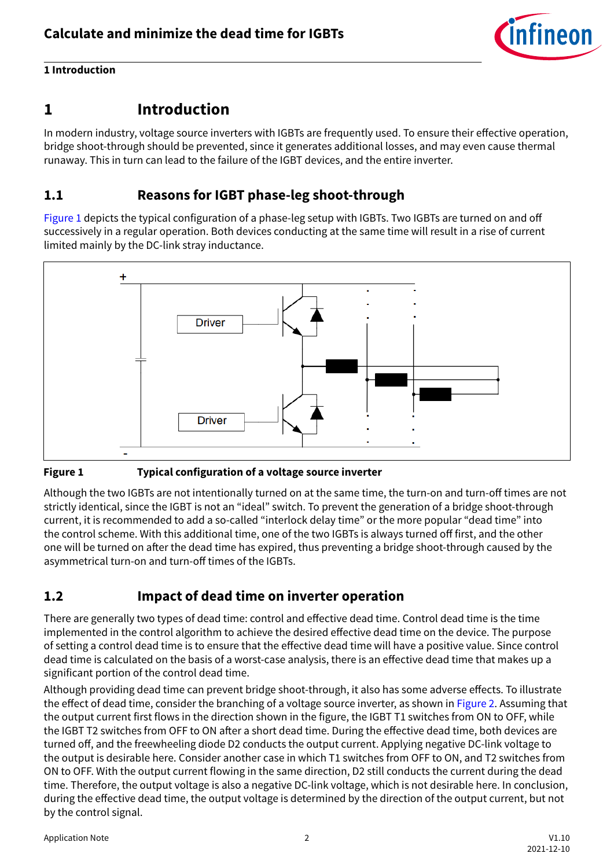

## <span id="page-1-0"></span>**1 Introduction**

## **1 Introduction**

In modern industry, voltage source inverters with IGBTs are frequently used. To ensure their effective operation, bridge shoot-through should be prevented, since it generates additional losses, and may even cause thermal runaway. This in turn can lead to the failure of the IGBT devices, and the entire inverter.

## **1.1 Reasons for IGBT phase-leg shoot-through**

Figure 1 depicts the typical configuration of a phase-leg setup with IGBTs. Two IGBTs are turned on and off successively in a regular operation. Both devices conducting at the same time will result in a rise of current limited mainly by the DC-link stray inductance.



#### **Figure 1 Typical configuration of a voltage source inverter**

Although the two IGBTs are not intentionally turned on at the same time, the turn-on and turn-off times are not strictly identical, since the IGBT is not an "ideal" switch. To prevent the generation of a bridge shoot-through current, it is recommended to add a so-called "interlock delay time" or the more popular "dead time" into the control scheme. With this additional time, one of the two IGBTs is always turned off first, and the other one will be turned on after the dead time has expired, thus preventing a bridge shoot-through caused by the asymmetrical turn-on and turn-off times of the IGBTs.

## **1.2 Impact of dead time on inverter operation**

There are generally two types of dead time: control and effective dead time. Control dead time is the time implemented in the control algorithm to achieve the desired effective dead time on the device. The purpose of setting a control dead time is to ensure that the effective dead time will have a positive value. Since control dead time is calculated on the basis of a worst-case analysis, there is an effective dead time that makes up a significant portion of the control dead time.

Although providing dead time can prevent bridge shoot-through, it also has some adverse effects. To illustrate the effect of dead time, consider the branching of a voltage source inverter, as shown in [Figure 2.](#page-2-0) Assuming that the output current first flows in the direction shown in the figure, the IGBT T1 switches from ON to OFF, while the IGBT T2 switches from OFF to ON after a short dead time. During the effective dead time, both devices are turned off, and the freewheeling diode D2 conducts the output current. Applying negative DC-link voltage to the output is desirable here. Consider another case in which T1 switches from OFF to ON, and T2 switches from ON to OFF. With the output current flowing in the same direction, D2 still conducts the current during the dead time. Therefore, the output voltage is also a negative DC-link voltage, which is not desirable here. In conclusion, during the effective dead time, the output voltage is determined by the direction of the output current, but not by the control signal.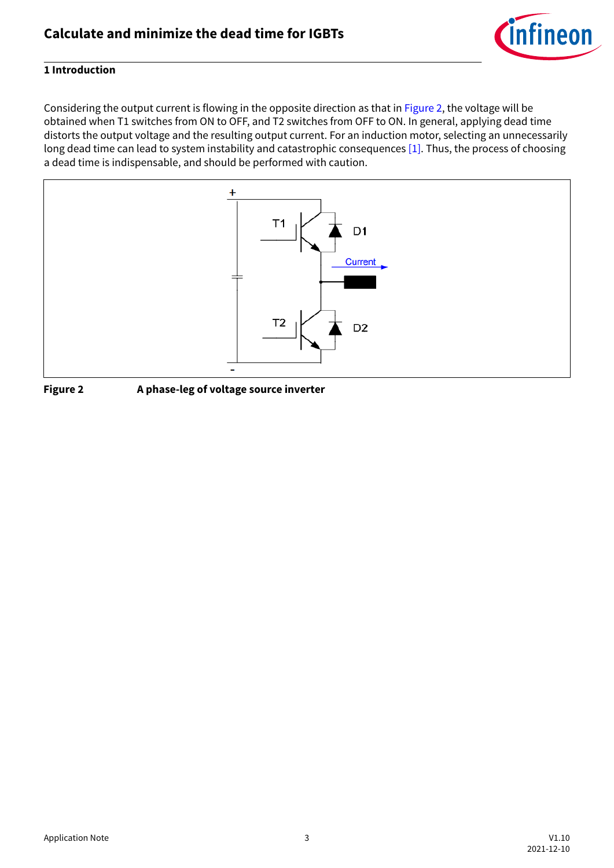

#### <span id="page-2-0"></span>**1 Introduction**

Considering the output current is flowing in the opposite direction as that in Figure 2, the voltage will be obtained when T1 switches from ON to OFF, and T2 switches from OFF to ON. In general, applying dead time distorts the output voltage and the resulting output current. For an induction motor, selecting an unnecessarily long dead time can lead to system instability and catastrophic consequences [\[1\]](#page-14-0). Thus, the process of choosing a dead time is indispensable, and should be performed with caution.



**Figure 2 A phase-leg of voltage source inverter**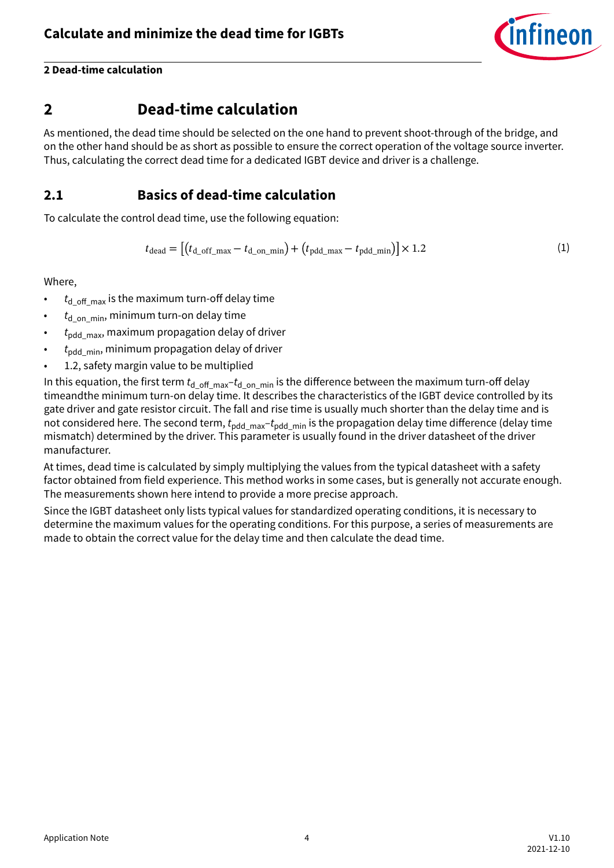

## <span id="page-3-0"></span>**2 Dead-time calculation**

As mentioned, the dead time should be selected on the one hand to prevent shoot-through of the bridge, and on the other hand should be as short as possible to ensure the correct operation of the voltage source inverter. Thus, calculating the correct dead time for a dedicated IGBT device and driver is a challenge.

## **2.1 Basics of dead-time calculation**

To calculate the control dead time, use the following equation:

$$
t_{\text{dead}} = \left[ \left( t_{\text{d\_off\_max}} - t_{\text{d\_on\_min}} \right) + \left( t_{\text{pdd\_max}} - t_{\text{pdd\_min}} \right) \right] \times 1.2 \tag{1}
$$

Where,

- $\cdot$   $t_{\text{d}}$  <sub>off max</sub> is the maximum turn-off delay time
- *t*d\_on\_min, minimum turn-on delay time
- *t*pdd\_max, maximum propagation delay of driver
- $t_{\text{ndd-min}}$ , minimum propagation delay of driver
- 1.2, safety margin value to be multiplied

In this equation, the first term  $t_d$  <sub>off</sub>  $_{\text{max}}-t_d$  <sub>on min</sub> is the difference between the maximum turn-off delay timeandthe minimum turn-on delay time. It describes the characteristics of the IGBT device controlled by its gate driver and gate resistor circuit. The fall and rise time is usually much shorter than the delay time and is not considered here. The second term,  $t_{\text{odd max}}-t_{\text{odd min}}$  is the propagation delay time difference (delay time mismatch) determined by the driver. This parameter is usually found in the driver datasheet of the driver manufacturer.

At times, dead time is calculated by simply multiplying the values from the typical datasheet with a safety factor obtained from field experience. This method works in some cases, but is generally not accurate enough. The measurements shown here intend to provide a more precise approach.

Since the IGBT datasheet only lists typical values for standardized operating conditions, it is necessary to determine the maximum values for the operating conditions. For this purpose, a series of measurements are made to obtain the correct value for the delay time and then calculate the dead time.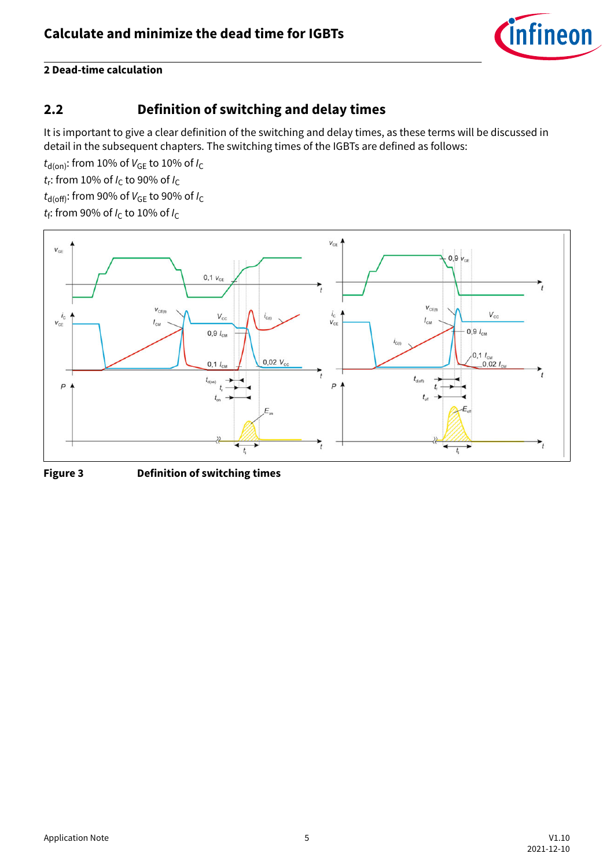

## <span id="page-4-0"></span>**2.2 Definition of switching and delay times**

It is important to give a clear definition of the switching and delay times, as these terms will be discussed in detail in the subsequent chapters. The switching times of the IGBTs are defined as follows:

 $t_{\text{d}(on)}$ : from 10% of  $V_{\text{GE}}$  to 10% of  $I_{\text{C}}$ 

*t*<sub>r</sub>: from 10% of *I*<sub>C</sub> to 90% of *I*<sub>C</sub>

 $t_{\text{d(off)}}$ : from 90% of  $V_{\text{GE}}$  to 90% of  $I_{\text{C}}$ 

*t*f : from 90% of *I*C to 10% of *I*<sup>C</sup>



**Figure 3 Definition of switching times**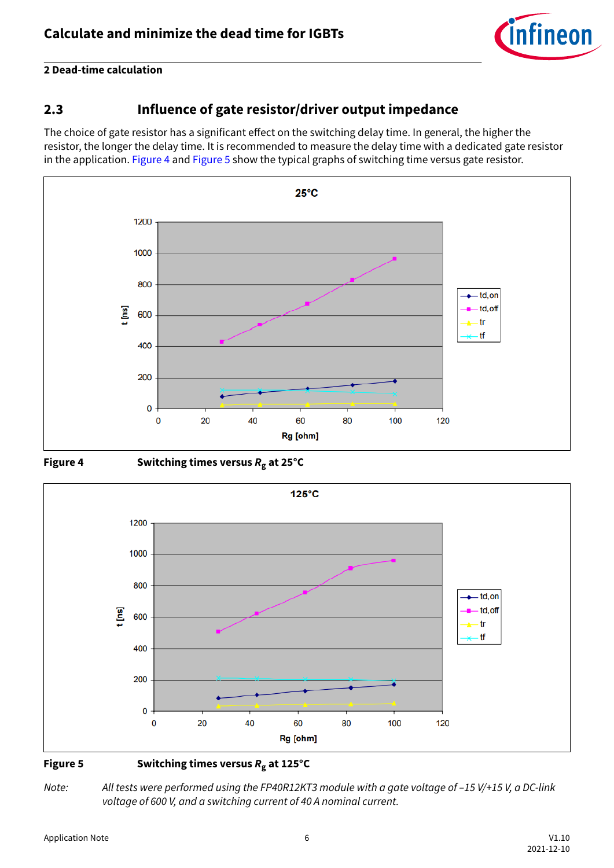

## <span id="page-5-0"></span>**2.3 Influence of gate resistor/driver output impedance**

The choice of gate resistor has a significant effect on the switching delay time. In general, the higher the resistor, the longer the delay time. It is recommended to measure the delay time with a dedicated gate resistor in the application. Figure 4 and Figure 5 show the typical graphs of switching time versus gate resistor.







#### **Figure 5 Switching times versus** *R***g at 125°C**

*Note: All tests were performed using the FP40R12KT3 module with a gate voltage of –15 V/+15 V, a DC-link voltage of 600 V, and a switching current of 40 A nominal current.*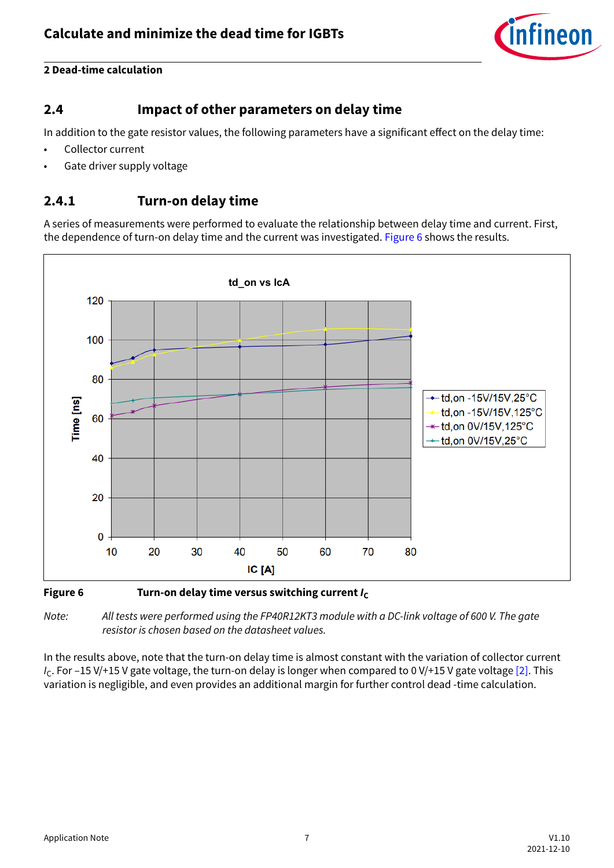

## <span id="page-6-0"></span>**2.4 Impact of other parameters on delay time**

In addition to the gate resistor values, the following parameters have a significant effect on the delay time:

- Collector current
- Gate driver supply voltage

## **2.4.1 Turn-on delay time**

A series of measurements were performed to evaluate the relationship between delay time and current. First, the dependence of turn-on delay time and the current was investigated. Figure 6 shows the results.



#### **Figure 6** Turn-on delay time versus switching current  $I_c$

*Note: All tests were performed using the FP40R12KT3 module with a DC-link voltage of 600 V. The gate resistor is chosen based on the datasheet values.*

In the results above, note that the turn-on delay time is almost constant with the variation of collector current *I<sub>C</sub>*. For –15 V/+15 V gate voltage, the turn-on delay is longer when compared to 0 V/+15 V gate voltage [\[2\]](#page-14-0). This variation is negligible, and even provides an additional margin for further control dead -time calculation.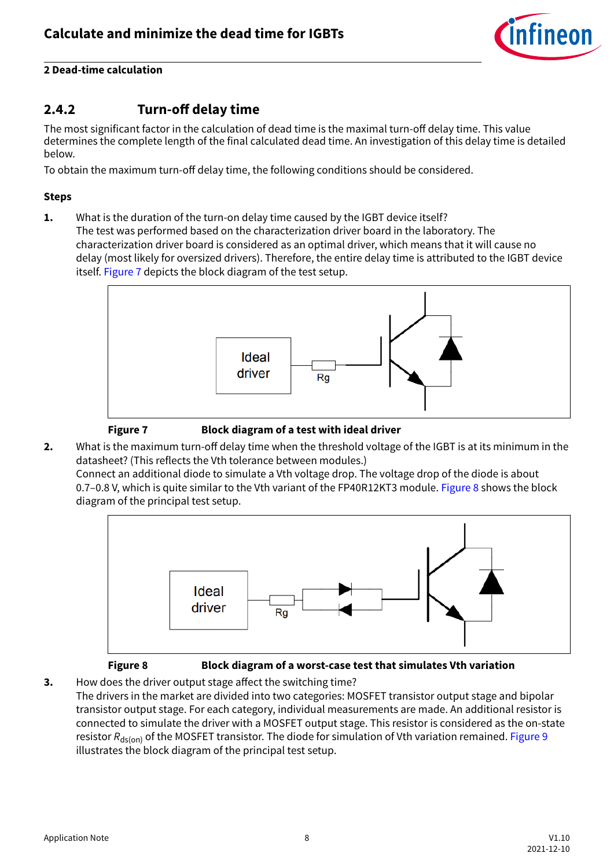

## <span id="page-7-0"></span>**2.4.2 Turn-off delay time**

The most significant factor in the calculation of dead time is the maximal turn-off delay time. This value determines the complete length of the final calculated dead time. An investigation of this delay time is detailed below.

To obtain the maximum turn-off delay time, the following conditions should be considered.

#### **Steps**

**1.** What is the duration of the turn-on delay time caused by the IGBT device itself? The test was performed based on the characterization driver board in the laboratory. The characterization driver board is considered as an optimal driver, which means that it will cause no delay (most likely for oversized drivers). Therefore, the entire delay time is attributed to the IGBT device itself. Figure 7 depicts the block diagram of the test setup.





**Figure 7 Block diagram of a test with ideal driver**

**2.** What is the maximum turn-off delay time when the threshold voltage of the IGBT is at its minimum in the datasheet? (This reflects the Vth tolerance between modules.)

Connect an additional diode to simulate a Vth voltage drop. The voltage drop of the diode is about 0.7–0.8 V, which is quite similar to the Vth variant of the FP40R12KT3 module. Figure 8 shows the block diagram of the principal test setup.



#### **Figure 8 Block diagram of a worst-case test that simulates Vth variation**

**3.** How does the driver output stage affect the switching time? The drivers in the market are divided into two categories: MOSFET transistor output stage and bipolar transistor output stage. For each category, individual measurements are made. An additional resistor is connected to simulate the driver with a MOSFET output stage. This resistor is considered as the on-state resistor R<sub>ds(on)</sub> of the MOSFET transistor. The diode for simulation of Vth variation remained. [Figure 9](#page-8-0) illustrates the block diagram of the principal test setup.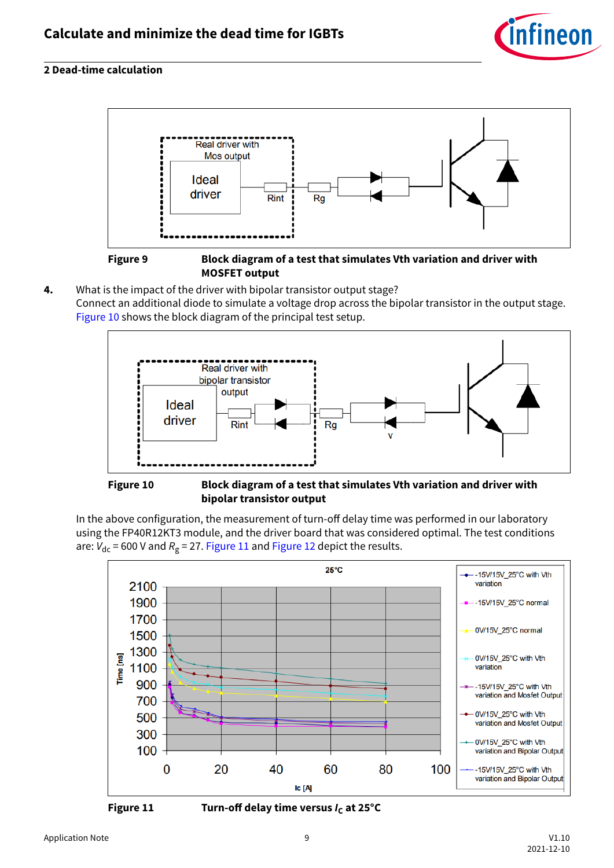

<span id="page-8-0"></span>

#### **Figure 9 Block diagram of a test that simulates Vth variation and driver with MOSFET output**

**4.** What is the impact of the driver with bipolar transistor output stage? Connect an additional diode to simulate a voltage drop across the bipolar transistor in the output stage. Figure 10 shows the block diagram of the principal test setup.



**Figure 10 Block diagram of a test that simulates Vth variation and driver with bipolar transistor output**

In the above configuration, the measurement of turn-off delay time was performed in our laboratory using the FP40R12KT3 module, and the driver board that was considered optimal. The test conditions are: V<sub>dc</sub> = 600 V and R<sub>g</sub> = 27. Figure 11 and [Figure 12](#page-9-0) depict the results.



**Figure 11 Turn-off delay time versus**  $I_c$  **at 25°C**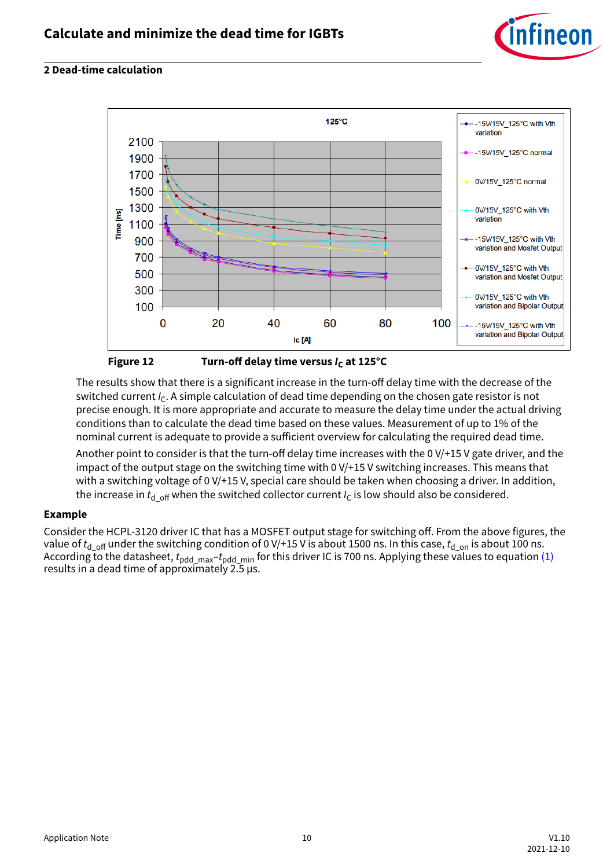

<span id="page-9-0"></span>

**Figure 12 Turn-off delay time versus**  $I_c$  **at 125°C** 

The results show that there is a significant increase in the turn-off delay time with the decrease of the switched current  $I_c$ . A simple calculation of dead time depending on the chosen gate resistor is not precise enough. It is more appropriate and accurate to measure the delay time under the actual driving conditions than to calculate the dead time based on these values. Measurement of up to 1% of the nominal current is adequate to provide a sufficient overview for calculating the required dead time.

Another point to consider is that the turn-off delay time increases with the 0 V/+15 V gate driver, and the impact of the output stage on the switching time with 0 V/+15 V switching increases. This means that with a switching voltage of 0 V/+15 V, special care should be taken when choosing a driver. In addition, the increase in  $t_{d$  off when the switched collector current  $I_c$  is low should also be considered.

#### **Example**

Consider the HCPL-3120 driver IC that has a MOSFET output stage for switching off. From the above figures, the value of  $t_{d$  <sub>off</sub> under the switching condition of 0 V/+15 V is about 1500 ns. In this case,  $t_{d}$  <sub>on</sub> is about 100 ns. According to the datasheet,  $t_{\rm pdd-max}$ <sup>+</sup> $t_{\rm pdd,min}$  for this driver IC is 700 ns. Applying these values to equation [\(1\)](#page-3-0) results in a dead time of approximately 2.5 µs.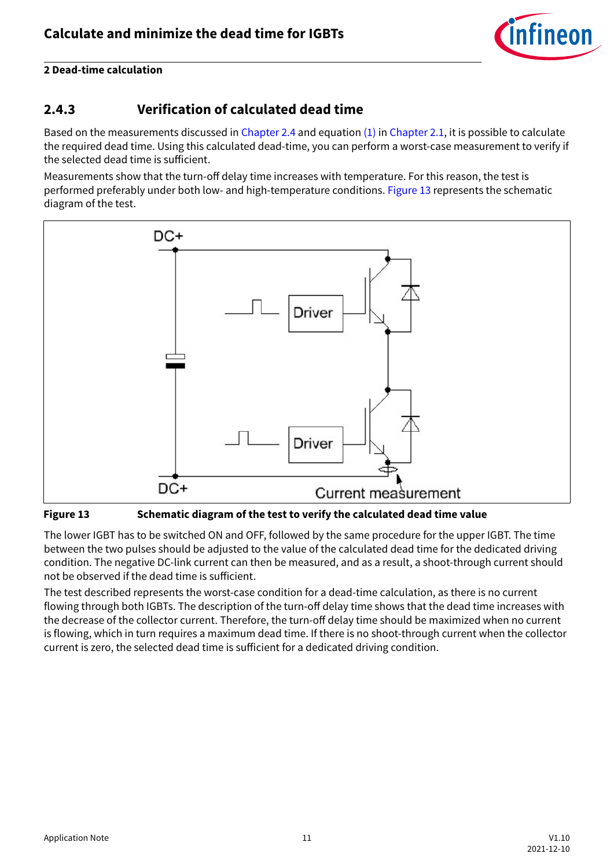

## <span id="page-10-0"></span>**2.4.3 Verification of calculated dead time**

Based on the measurements discussed in [Chapter 2.4](#page-6-0) and equation  $(1)$  in [Chapter 2.1,](#page-3-0) it is possible to calculate the required dead time. Using this calculated dead-time, you can perform a worst-case measurement to verify if the selected dead time is sufficient.

Measurements show that the turn-off delay time increases with temperature. For this reason, the test is performed preferably under both low- and high-temperature conditions. Figure 13 represents the schematic diagram of the test.



**Figure 13 Schematic diagram of the test to verify the calculated dead time value**

The lower IGBT has to be switched ON and OFF, followed by the same procedure for the upper IGBT. The time between the two pulses should be adjusted to the value of the calculated dead time for the dedicated driving condition. The negative DC-link current can then be measured, and as a result, a shoot-through current should not be observed if the dead time is sufficient.

The test described represents the worst-case condition for a dead-time calculation, as there is no current flowing through both IGBTs. The description of the turn-off delay time shows that the dead time increases with the decrease of the collector current. Therefore, the turn-off delay time should be maximized when no current is flowing, which in turn requires a maximum dead time. If there is no shoot-through current when the collector current is zero, the selected dead time is sufficient for a dedicated driving condition.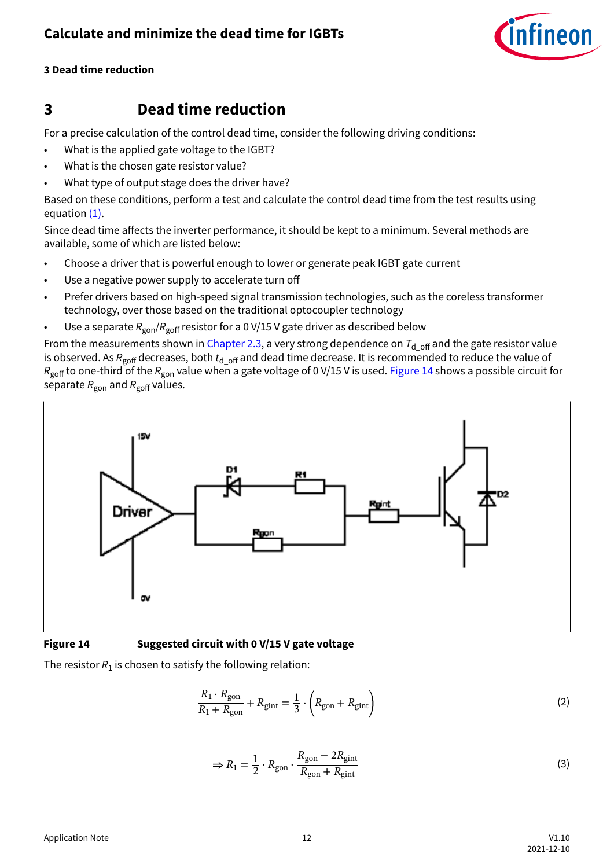

#### <span id="page-11-0"></span>**3 Dead time reduction**

## **3 Dead time reduction**

For a precise calculation of the control dead time, consider the following driving conditions:

- What is the applied gate voltage to the IGBT?
- What is the chosen gate resistor value?
- What type of output stage does the driver have?

Based on these conditions, perform a test and calculate the control dead time from the test results using equation [\(1\)](#page-3-0).

Since dead time affects the inverter performance, it should be kept to a minimum. Several methods are available, some of which are listed below:

- Choose a driver that is powerful enough to lower or generate peak IGBT gate current
- Use a negative power supply to accelerate turn off
- Prefer drivers based on high-speed signal transmission technologies, such as the coreless transformer technology, over those based on the traditional optocoupler technology
- Use a separate  $R_{\text{gon}}/R_{\text{goff}}$  resistor for a 0 V/15 V gate driver as described below

From the measurements shown in [Chapter 2.3](#page-5-0), a very strong dependence on  $T_{d_{off}}$  and the gate resistor value is observed. As *R*<sub>goff</sub> decreases, both  $t_d$  <sub>off</sub> and dead time decrease. It is recommended to reduce the value of *R*<sub>goff</sub> to one-third of the *R*<sub>gon</sub> value when a gate voltage of 0 V/15 V is used. Figure 14 shows a possible circuit for separate  $R_{\text{gon}}$  and  $R_{\text{goff}}$  values.



#### **Figure 14 Suggested circuit with 0 V/15 V gate voltage**

The resistor  $R_1$  is chosen to satisfy the following relation:

$$
\frac{R_1 \cdot R_{\text{gon}}}{R_1 + R_{\text{gon}}} + R_{\text{gint}} = \frac{1}{3} \cdot \left( R_{\text{gon}} + R_{\text{gint}} \right) \tag{2}
$$

$$
\Rightarrow R_1 = \frac{1}{2} \cdot R_{\text{gon}} \cdot \frac{R_{\text{gon}} - 2R_{\text{gint}}}{R_{\text{gon}} + R_{\text{gint}}}
$$
(3)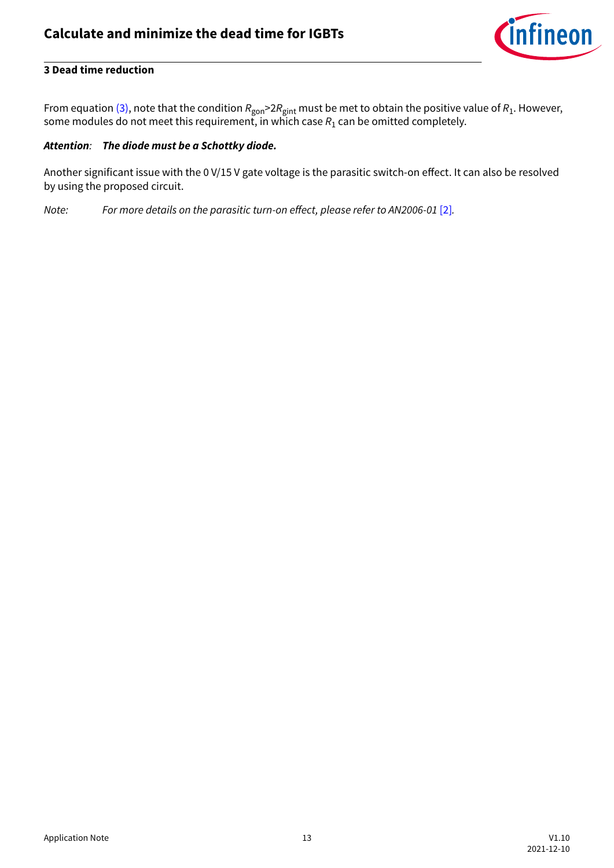

#### **3 Dead time reduction**

From equation [\(3\),](#page-11-0) note that the condition  $R_{\sf gon}$ >2 $R_{\sf giant}$  must be met to obtain the positive value of  $R_1$ . However, some modules do not meet this requirement, in which case  $R_1$  can be omitted completely.

#### *Attention: The diode must be a Schottky diode.*

Another significant issue with the 0 V/15 V gate voltage is the parasitic switch-on effect. It can also be resolved by using the proposed circuit.

*Note:* For more details on the parasitic turn-on effect, please refer to AN2006-01 [\[2\]](#page-14-0).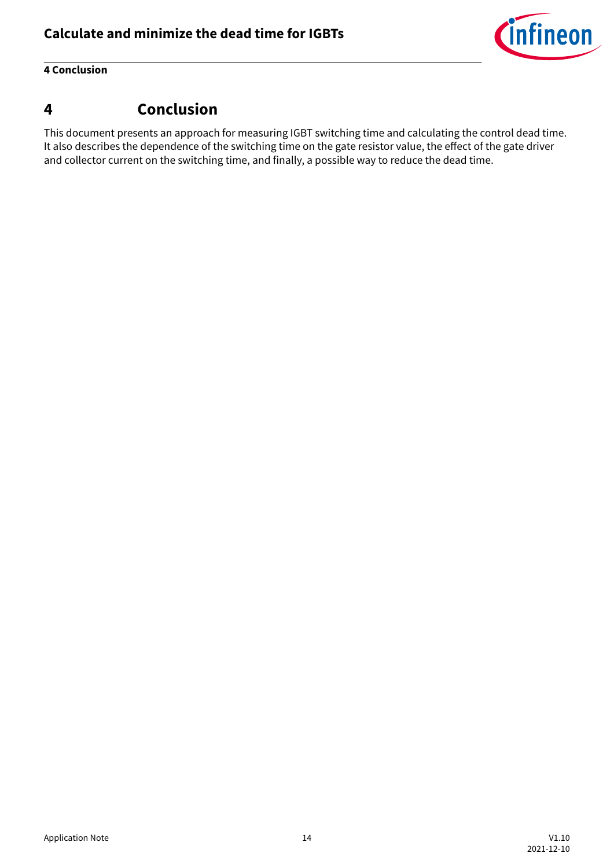

#### <span id="page-13-0"></span>**4 Conclusion**

## **4 Conclusion**

This document presents an approach for measuring IGBT switching time and calculating the control dead time. It also describes the dependence of the switching time on the gate resistor value, the effect of the gate driver and collector current on the switching time, and finally, a possible way to reduce the dead time.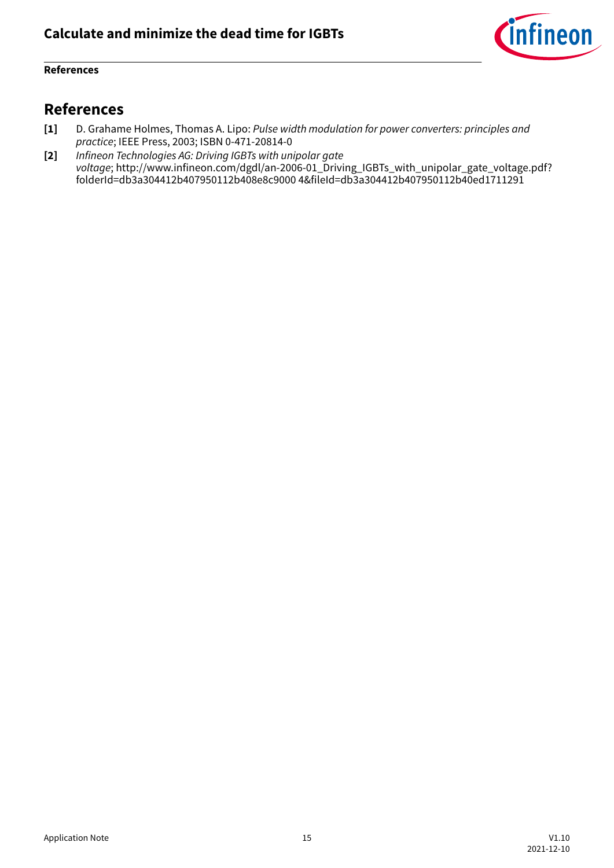

#### <span id="page-14-0"></span>**References**

## **References**

- **[1]** D. Grahame Holmes, Thomas A. Lipo: *Pulse width modulation for power converters: principles and practice*; IEEE Press, 2003; ISBN 0-471-20814-0
- **[2]** *Infineon Technologies AG: Driving IGBTs with unipolar gate voltage*; http://www.infineon.com/dgdl/an-2006-01\_Driving\_IGBTs\_with\_unipolar\_gate\_voltage.pdf? folderId=db3a304412b407950112b408e8c9000 4&fileId=db3a304412b407950112b40ed1711291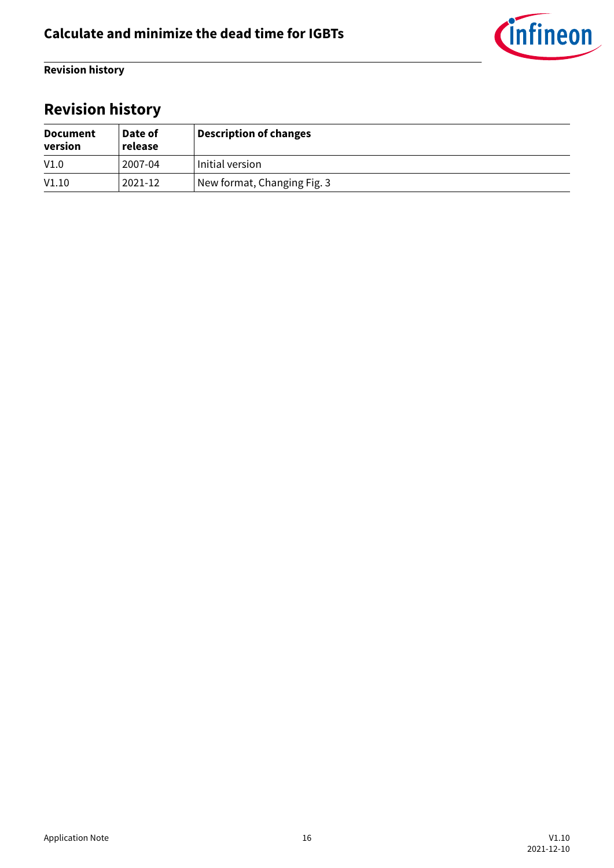

<span id="page-15-0"></span>**Revision history**

# **Revision history**

| <b>Document</b><br>version | Date of<br>release | <b>Description of changes</b> |
|----------------------------|--------------------|-------------------------------|
| V1.0                       | 2007-04            | Initial version               |
| V1.10                      | 2021-12            | New format, Changing Fig. 3   |